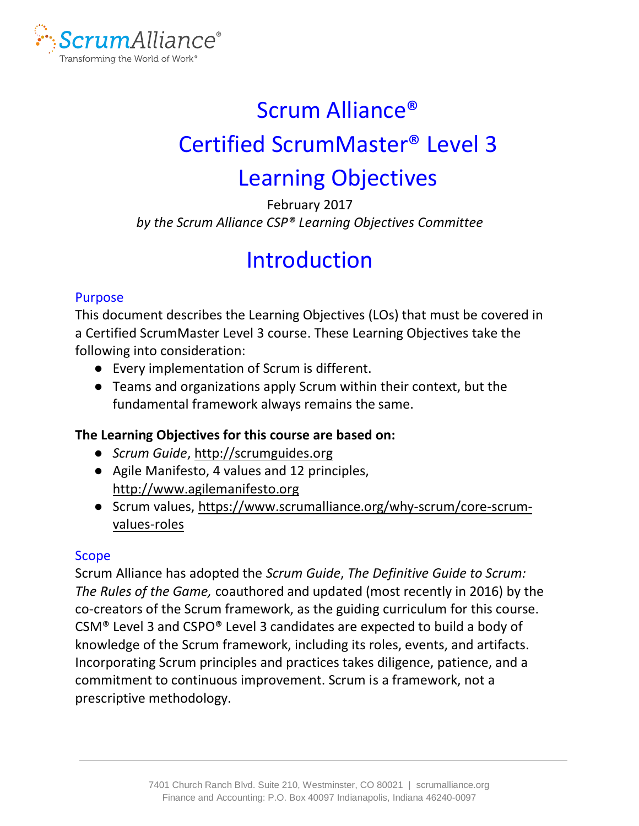

# Scrum Alliance® Certified ScrumMaster® Level 3 Learning Objectives

February 2017 *by the Scrum Alliance CSP® Learning Objectives Committee*

# Introduction

#### Purpose

This document describes the Learning Objectives (LOs) that must be covered in a Certified ScrumMaster Level 3 course. These Learning Objectives take the following into consideration:

- Every implementation of Scrum is different.
- Teams and organizations apply Scrum within their context, but the fundamental framework always remains the same.

#### **The Learning Objectives for this course are based on:**

- *Scrum Guide*, [http://scrumguides.org](http://scrumguides.org/)
- Agile Manifesto, 4 values and 12 principles, [http://www.agilemanifesto.org](http://www.agilemanifesto.org/)
- Scrum values, [https://www.scrumalliance.org/why-scrum/core-scrum](https://www.scrumalliance.org/why-scrum/core-scrum-values-roles)[values-roles](https://www.scrumalliance.org/why-scrum/core-scrum-values-roles)

#### Scope

Scrum Alliance has adopted the *Scrum Guide*, *The Definitive Guide to Scrum: The Rules of the Game,* coauthored and updated (most recently in 2016) by the co-creators of the Scrum framework, as the guiding curriculum for this course. CSM® Level 3 and CSPO® Level 3 candidates are expected to build a body of knowledge of the Scrum framework, including its roles, events, and artifacts. Incorporating Scrum principles and practices takes diligence, patience, and a commitment to continuous improvement. Scrum is a framework, not a prescriptive methodology.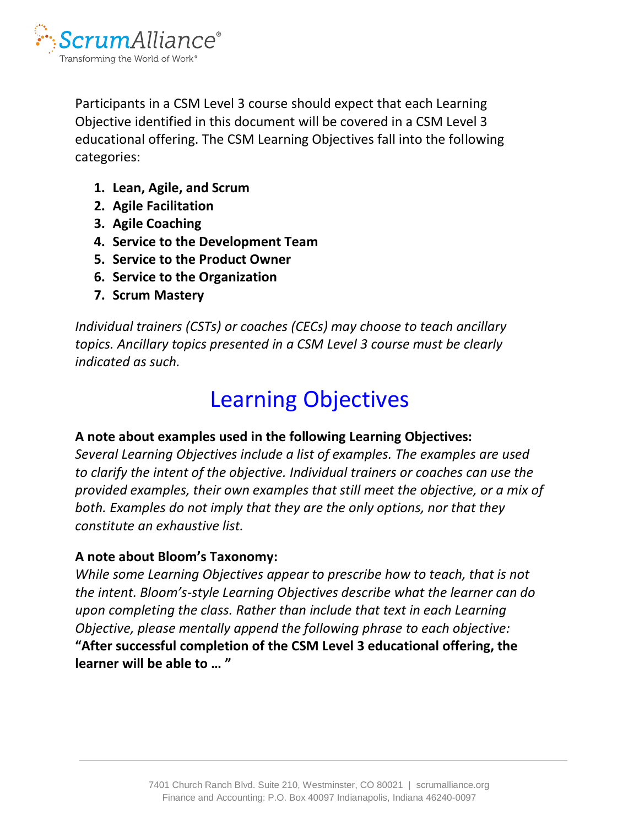

Participants in a CSM Level 3 course should expect that each Learning Objective identified in this document will be covered in a CSM Level 3 educational offering. The CSM Learning Objectives fall into the following categories:

- **1. Lean, Agile, and Scrum**
- **2. Agile Facilitation**
- **3. Agile Coaching**
- **4. Service to the Development Team**
- **5. Service to the Product Owner**
- **6. Service to the Organization**
- **7. Scrum Mastery**

*Individual trainers (CSTs) or coaches (CECs) may choose to teach ancillary topics. Ancillary topics presented in a CSM Level 3 course must be clearly indicated as such.*

# Learning Objectives

#### **A note about examples used in the following Learning Objectives:**

*Several Learning Objectives include a list of examples. The examples are used to clarify the intent of the objective. Individual trainers or coaches can use the provided examples, their own examples that still meet the objective, or a mix of both. Examples do not imply that they are the only options, nor that they constitute an exhaustive list.* 

#### **A note about Bloom's Taxonomy:**

*While some Learning Objectives appear to prescribe how to teach, that is not the intent. Bloom's-style Learning Objectives describe what the learner can do upon completing the class. Rather than include that text in each Learning Objective, please mentally append the following phrase to each objective:* **"After successful completion of the CSM Level 3 educational offering, the learner will be able to … "**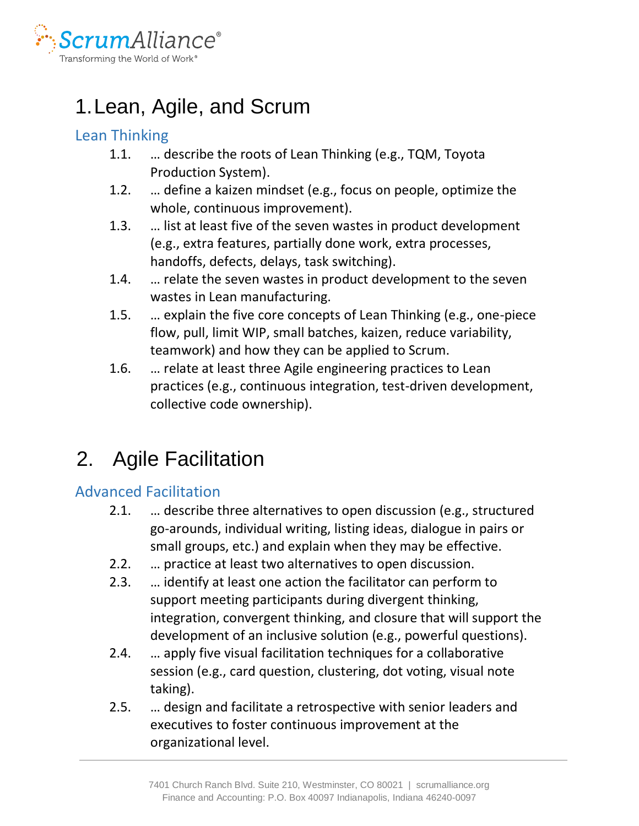

# 1.Lean, Agile, and Scrum

### Lean Thinking

- 1.1. … describe the roots of Lean Thinking (e.g., TQM, Toyota Production System).
- 1.2. … define a kaizen mindset (e.g., focus on people, optimize the whole, continuous improvement).
- 1.3. … list at least five of the seven wastes in product development (e.g., extra features, partially done work, extra processes, handoffs, defects, delays, task switching).
- 1.4. … relate the seven wastes in product development to the seven wastes in Lean manufacturing.
- 1.5. … explain the five core concepts of Lean Thinking (e.g., one-piece flow, pull, limit WIP, small batches, kaizen, reduce variability, teamwork) and how they can be applied to Scrum.
- 1.6. … relate at least three Agile engineering practices to Lean practices (e.g., continuous integration, test-driven development, collective code ownership).

# 2. Agile Facilitation

### Advanced Facilitation

- 2.1. … describe three alternatives to open discussion (e.g., structured go-arounds, individual writing, listing ideas, dialogue in pairs or small groups, etc.) and explain when they may be effective.
- 2.2. … practice at least two alternatives to open discussion.
- 2.3. … identify at least one action the facilitator can perform to support meeting participants during divergent thinking, integration, convergent thinking, and closure that will support the development of an inclusive solution (e.g., powerful questions).
- 2.4. … apply five visual facilitation techniques for a collaborative session (e.g., card question, clustering, dot voting, visual note taking).
- 2.5. … design and facilitate a retrospective with senior leaders and executives to foster continuous improvement at the organizational level.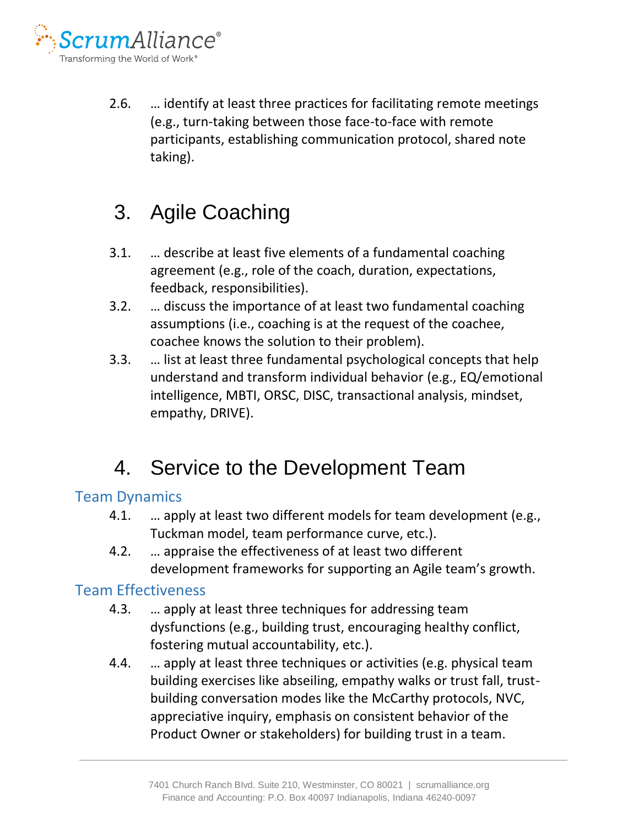

2.6. … identify at least three practices for facilitating remote meetings (e.g., turn-taking between those face-to-face with remote participants, establishing communication protocol, shared note taking).

# 3. Agile Coaching

- 3.1. … describe at least five elements of a fundamental coaching agreement (e.g., role of the coach, duration, expectations, feedback, responsibilities).
- 3.2. … discuss the importance of at least two fundamental coaching assumptions (i.e., coaching is at the request of the coachee, coachee knows the solution to their problem).
- 3.3. … list at least three fundamental psychological concepts that help understand and transform individual behavior (e.g., EQ/emotional intelligence, MBTI, ORSC, DISC, transactional analysis, mindset, empathy, DRIVE).

## 4. Service to the Development Team

### Team Dynamics

- 4.1. ... apply at least two different models for team development (e.g., Tuckman model, team performance curve, etc.).
- 4.2. … appraise the effectiveness of at least two different development frameworks for supporting an Agile team's growth.

#### Team Effectiveness

- 4.3. … apply at least three techniques for addressing team dysfunctions (e.g., building trust, encouraging healthy conflict, fostering mutual accountability, etc.).
- 4.4. … apply at least three techniques or activities (e.g. physical team building exercises like abseiling, empathy walks or trust fall, trustbuilding conversation modes like the McCarthy protocols, NVC, appreciative inquiry, emphasis on consistent behavior of the Product Owner or stakeholders) for building trust in a team.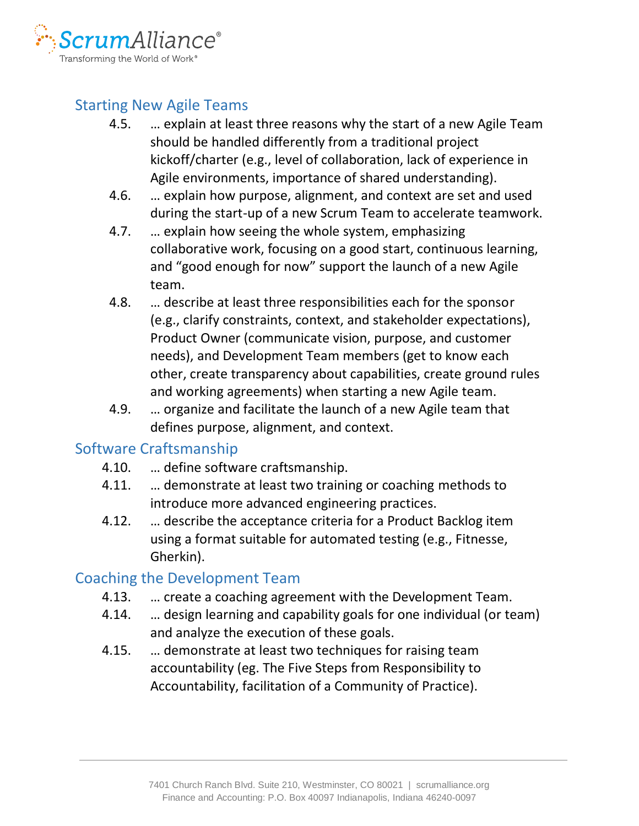

### Starting New Agile Teams

- 4.5. … explain at least three reasons why the start of a new Agile Team should be handled differently from a traditional project kickoff/charter (e.g., level of collaboration, lack of experience in Agile environments, importance of shared understanding).
- 4.6. … explain how purpose, alignment, and context are set and used during the start-up of a new Scrum Team to accelerate teamwork.
- 4.7. … explain how seeing the whole system, emphasizing collaborative work, focusing on a good start, continuous learning, and "good enough for now" support the launch of a new Agile team.
- 4.8. … describe at least three responsibilities each for the sponsor (e.g., clarify constraints, context, and stakeholder expectations), Product Owner (communicate vision, purpose, and customer needs), and Development Team members (get to know each other, create transparency about capabilities, create ground rules and working agreements) when starting a new Agile team.
- 4.9. … organize and facilitate the launch of a new Agile team that defines purpose, alignment, and context.

### Software Craftsmanship

- 4.10. … define software craftsmanship.
- 4.11. … demonstrate at least two training or coaching methods to introduce more advanced engineering practices.
- 4.12. … describe the acceptance criteria for a Product Backlog item using a format suitable for automated testing (e.g., Fitnesse, Gherkin).

### Coaching the Development Team

- 4.13. … create a coaching agreement with the Development Team.
- 4.14. … design learning and capability goals for one individual (or team) and analyze the execution of these goals.
- 4.15. … demonstrate at least two techniques for raising team accountability (eg. The Five Steps from Responsibility to Accountability, facilitation of a Community of Practice).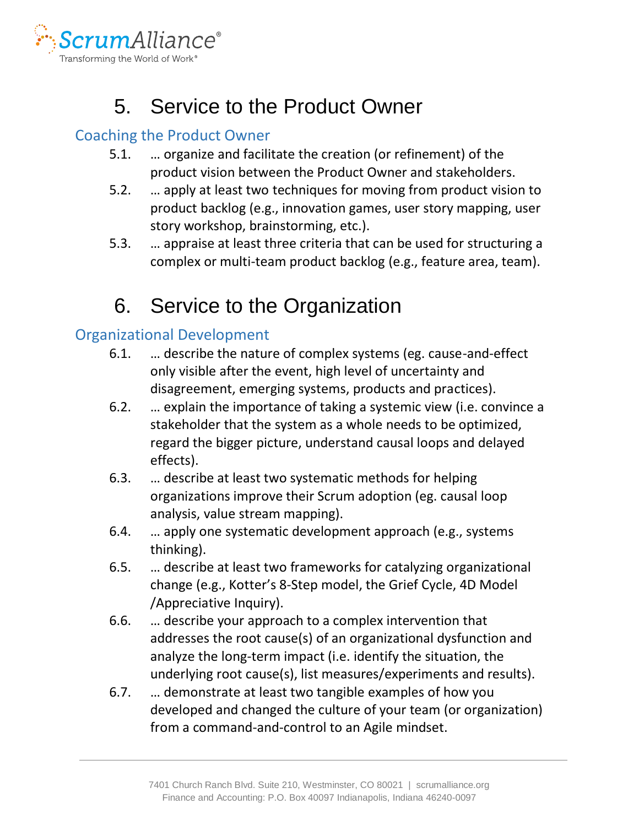

## 5. Service to the Product Owner

### Coaching the Product Owner

- 5.1. … organize and facilitate the creation (or refinement) of the product vision between the Product Owner and stakeholders.
- 5.2. … apply at least two techniques for moving from product vision to product backlog (e.g., innovation games, user story mapping, user story workshop, brainstorming, etc.).
- 5.3. … appraise at least three criteria that can be used for structuring a complex or multi-team product backlog (e.g., feature area, team).

# 6. Service to the Organization

### Organizational Development

- 6.1. … describe the nature of complex systems (eg. cause-and-effect only visible after the event, high level of uncertainty and disagreement, emerging systems, products and practices).
- 6.2. … explain the importance of taking a systemic view (i.e. convince a stakeholder that the system as a whole needs to be optimized, regard the bigger picture, understand causal loops and delayed effects).
- 6.3. … describe at least two systematic methods for helping organizations improve their Scrum adoption (eg. causal loop analysis, value stream mapping).
- 6.4. … apply one systematic development approach (e.g., systems thinking).
- 6.5. … describe at least two frameworks for catalyzing organizational change (e.g., Kotter's 8-Step model, the Grief Cycle, 4D Model /Appreciative Inquiry).
- 6.6. … describe your approach to a complex intervention that addresses the root cause(s) of an organizational dysfunction and analyze the long-term impact (i.e. identify the situation, the underlying root cause(s), list measures/experiments and results).
- 6.7. … demonstrate at least two tangible examples of how you developed and changed the culture of your team (or organization) from a command-and-control to an Agile mindset.